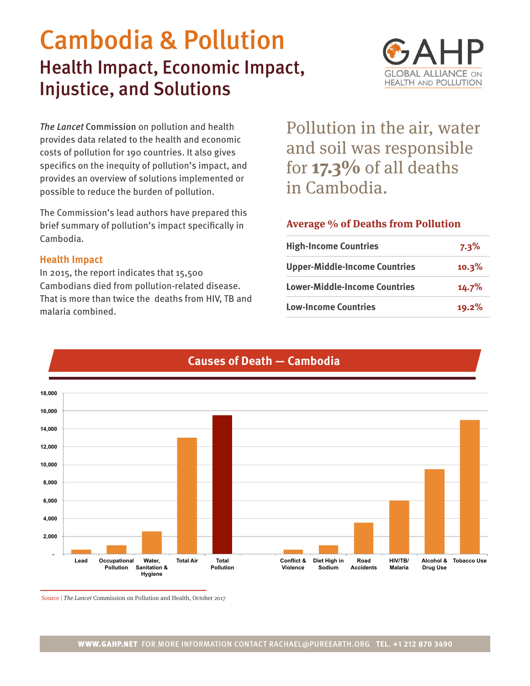# Cambodia & Pollution Health Impact, Economic Impact, Injustice, and Solutions



*The Lancet* Commission on pollution and health provides data related to the health and economic costs of pollution for 190 countries. It also gives specifics on the inequity of pollution's impact, and provides an overview of solutions implemented or possible to reduce the burden of pollution.

The Commission's lead authors have prepared this brief summary of pollution's impact specifically in Cambodia.

## **Health Impact**

In 2015, the report indicates that 15,500 Cambodians died from pollution-related disease. That is more than twice the deaths from HIV, TB and malaria combined.

Pollution in the air, water and soil was responsible for **17.3%** of all deaths in Cambodia.

## **Average % of Deaths from Pollution**

| <b>High-Income Countries</b>         | $7.3\%$ |
|--------------------------------------|---------|
| <b>Upper-Middle-Income Countries</b> | 10.3%   |
| <b>Lower-Middle-Income Countries</b> | 14.7%   |
| <b>Low-Income Countries</b>          | 19.2%   |



# **Causes of Death — Cambodia**

Source | The Lancet Commission on Pollution and Health, October 2017